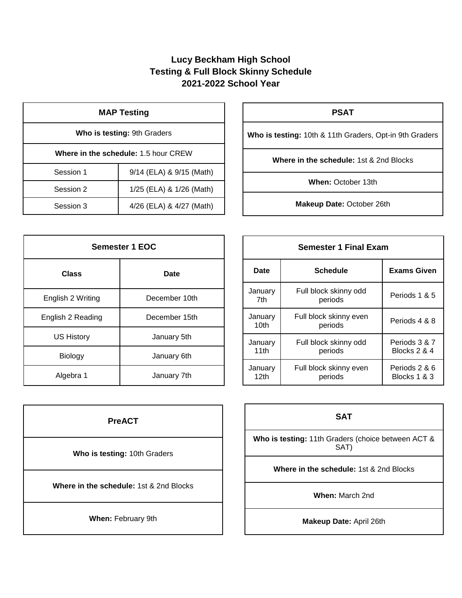## **Lucy Beckham High School Testing & Full Block Skinny Schedule 2021-2022 School Year**

| <b>MAP Testing</b>                          |                          |  |
|---------------------------------------------|--------------------------|--|
| Who is testing: 9th Graders                 |                          |  |
| <b>Where in the schedule: 1.5 hour CREW</b> |                          |  |
| Session 1                                   | 9/14 (ELA) & 9/15 (Math) |  |
| Session 2                                   | 1/25 (ELA) & 1/26 (Math) |  |
| Session 3                                   | 4/26 (ELA) & 4/27 (Math) |  |

| <b>Semester 1 EOC</b> |               |  |
|-----------------------|---------------|--|
| <b>Class</b>          | Date          |  |
| English 2 Writing     | December 10th |  |
| English 2 Reading     | December 15th |  |
| <b>US History</b>     | January 5th   |  |
| Biology               | January 6th   |  |
| Algebra 1             | January 7th   |  |

| <b>PreACT</b>                                      |  |
|----------------------------------------------------|--|
| Who is testing: 10th Graders                       |  |
| <b>Where in the schedule: 1st &amp; 2nd Blocks</b> |  |
| When: February 9th                                 |  |

|  | Jan |
|--|-----|
|  |     |

| <b>PSAT</b>                                             |
|---------------------------------------------------------|
| Who is testing: 10th & 11th Graders, Opt-in 9th Graders |

**Where in the schedule:** 1st & 2nd Blocks

**When:** October 13th

**Makeup Date:** October 26th

| <b>Semester 1 Final Exam</b> |                                   |                               |
|------------------------------|-----------------------------------|-------------------------------|
| Date                         | Schedule                          | <b>Exams Given</b>            |
| January<br>7th               | Full block skinny odd<br>periods  | Periods 1 & 5                 |
| January<br>10th              | Full block skinny even<br>periods | Periods 4 & 8                 |
| January<br>11th              | Full block skinny odd<br>periods  | Periods 3 & 7<br>Blocks 2 & 4 |
| January<br>12th              | Full block skinny even<br>periods | Periods 2 & 6<br>Blocks 1 & 3 |

## **SAT**

**Who is testing:** 11th Graders (choice between ACT & SAT)

**Where in the schedule:** 1st & 2nd Blocks

**When:** March 2nd

**Makeup Date:** April 26th